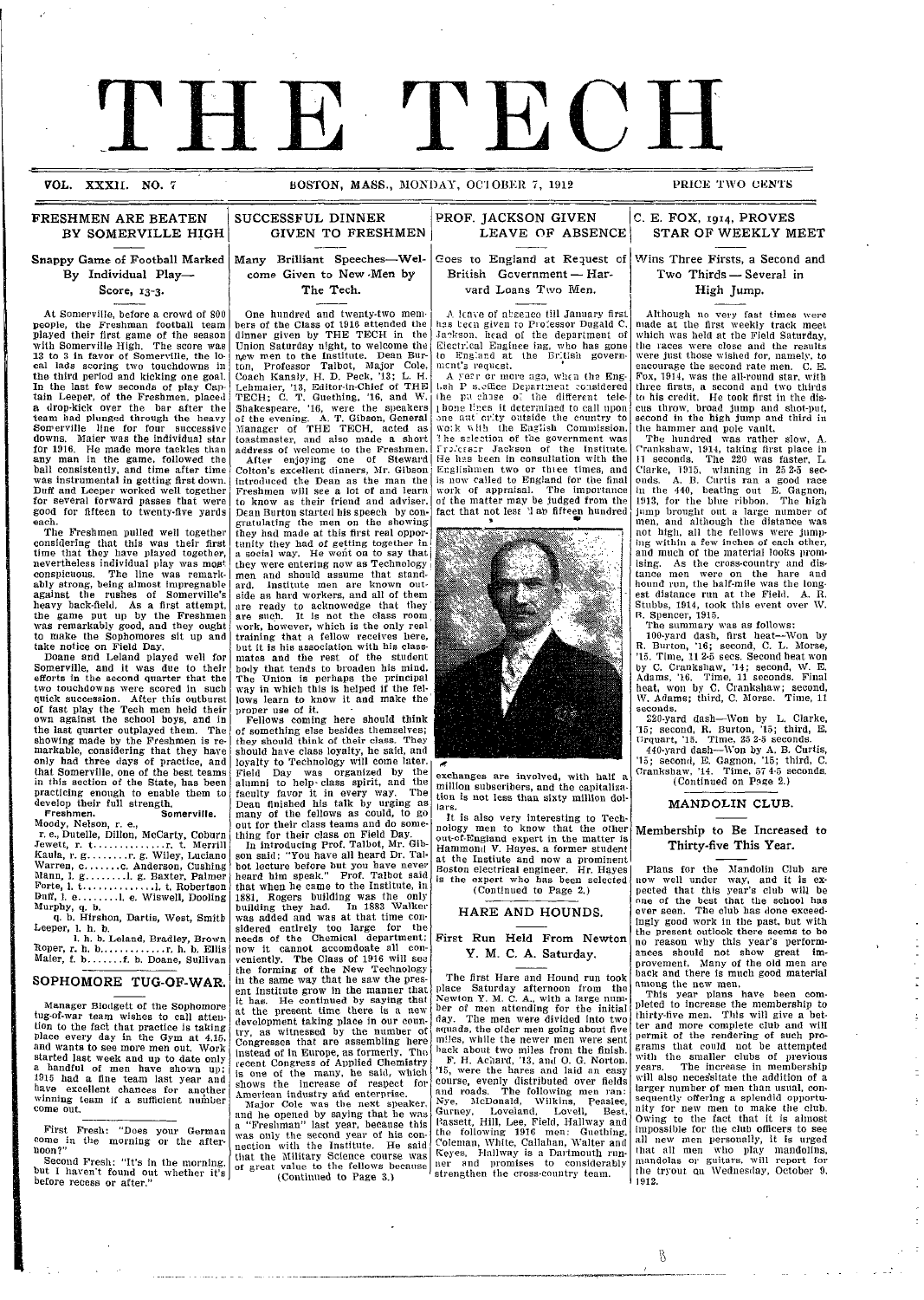# VOL. XXXII. NO. 7 BOSTON, MASS., MONDAY, OCTOBER 7, 1912 ·\_ \_\_ \_ \_\_ \_ \_

I

**BOSTON, MASS., MONDAY, OCTOBER 7, 1912 PRICE TWO CENTS** 

SUCCESSFUL DINNER PROF. JACKSON GIVEN

#### FRESHMEN ARE BEATEN **BY SOMERVILLE** HIGH

Snappy Game of Football Marked Many Brilliant Speeches-Wel-By Individual Play-Score, 13-3.

At Somerville, before a crowd of 800 people, the Freshman football team played their first game of the season with Somerville High. The score was 13 to 3 in favor of Somerville, the lo-cal lads scoring two touchdowns in the third period and kicking one goal. In the last few seconds of play Captain Leeper, of the Freshmen, placed a drop-kick over the bar after the team had plunged through the heavy Somerville line for four successive downs. Mater was the individual star for 1916. He made more tackles than any man in the game, followed the ball consistently, and time after time was instrumental in getting first down. Duff and Leeper worked well together for several forward passes that were good for fifteen to twenty-five yards each.

The Freshmen pulled well together considering that this was their first time that they have played together, nevertheless individual play was most conspicuous. The line was remarkably strong, being almost impregnable against the rushes of Somerville's heavy back-field. As a first attempt, the game put up by the Freshmen was remarkably good, and they ought to make the Sophomores sit up and take notice on Field Day.

Doane and Leland played well for Somerville, and it was due to their efforts in the second quarter that the two touchdowns were scored in such quick succession. After this outburst of fast play the Tech men held their own against the school boys, and in the last quarter outplayed them. The showing made by the Freshmen is re- markable, considering that they have only had three days of practice, and that Somerville, one of the best teams in this section of the State, has been practicing enough to enable them to develop their full strength.

**Freshmen. Somerville.** Moody, Nelson, r. e., r. e., Dutelle, Dillon, McCarty, Coburn Jewett, r. t .............. r. t. Merrill Kaula, r. g. .......r. g. Wiley, Luciano Warren, c ....... c. Anderson, Cushing Mlann, 1. g ........ l. g. Baxter, Palmer

Forte, 1. t .............. I. t. Robertson Duff, 1. e........1. e. Wiswell, Dooling<br>Murphy, q. b. q. b. Hirshon, Dartis, West, Smith

Leeper, 1. h. b. 1. h. b. Leland, Bradley, Brown

Roper, r. h. b ............. r. h. b. Ellis Maier, f. b ....... f. b. Doane, Sullivan

#### SOPHOMORE TUG-OF-WAR.

Manager Blodgett of the Sophomore tug-of-war team wishes to call atten-tion to the fact that practice is taking Place every day in the Gym at 4.15. and wants to see more men out. Work started last week and up to date only 1915 had a fine team last year and have excellent chances for another winning team if a sufficient number<br>come out.

First Fresh: "Does your German come in the morning or the after-noon?"

Second Fresh: "It's in the morning, but I haven't found out whether it's before recess or after."

I

I

GIVEN TO FRESHMEN

come Given to New -Men by The Tech.

One hundred and twenty-two members of the Class of 1916 attended the dinner given by THE TECH in the dinner given by THE TECH in the Union Saturday night, to welcome the n,ew men to the Institute. Dean Bur-ton, Professor Talbot, Major Cole, Coach Kanaly, H. D. Peck, '13; L. H. Lehmaier, '13, Editor-in-Chief of THE TECH; C. T. Guething, '16, and W. Shakespeare, '16, were the speakers or the evening. A. T. Gibson, General Manager of THE TECH, acted as toastmaster, and also made a short address of welcome to the Freshmen. After enjoying one of Steward Colton's excellent dinners, MIr. Gibson introduced the Dean as the man the Freshmen will see a lot of and learn to know as their friend and adviser. Dean Burton started his speech by con- gratulating the men on the showing they had made at this first real oppor-tunity they had of getting together in a social way. He went on to say that| they were entering now as Technology i men and should assume that stand-ard. Institute men are known outside as hard workers, and all of them are ready to acknowedge that they' are such. It is not the class room work, however, which is the only real training that a fellow receives here, but it is his association with his classmates and the rest of the student body that tends to broaden his mind. The 'Union is perhaps the principal way in which this is helped if the fellows learn to know it and make the proper use of it. Fellows coming here should think

of something else besides themselves; they should think of their class. They should have class loyalty, he said, and loyalty to Technology will come later. Field Day was organized by the alumni to help- class spirit, and the faculty favor it in every way. The Dean finished his talk by urging as many of the fellows as could, to go

out for their class teams and do some- thing for their class on Field Day. In introducing Prof. Talbot, Mr. Gibson said: "You have all heard Dr. Talbot lecture before but you have never heard him speak." Prof. Talbot said that when he came to the Institute, in 1881, Rogers building was the only building they had. In 1883 Walkerwas added and was at that time con-<br>sidered entirely too large for the<br>needs of the Chemical department; now it cannot accomdoate all con- veniently. The Class of 1916 will see the forming of the New Technology in the same way that he saw the present Institute grow in the manner that it has. He continued by saying that at the present time there is a new development taking place in our coun-try, as witnessed by the number of Congresses that are assembling here instead of in Europe, as formerly. The recent Congress of Applied Chemistry is one of the many, he said, which

shows the increase of respect for American industry arid enterprise. Major Cole was the next speaker, and he opened by saying that he was a "Freshman" last year, because this was only the second year of his connection with the Institute. He said that the Military Science course was of great value to the fellows because (Continued to Page 3.)

LEAVE OF ABSENCE Goes to England at Request of Wins Three Firsts, a Second and British Government-Harvard Loans Two Men.

A leave of absence till January first has teen given to Professor Dugald C. .Jackson. head of the department of Electrical Enginee ing, who has gone<br>to England at the British govern-<br>ment's request.

A year or more ago, when the Eng-<br>Ush P s.office Department considered the pu chase o' the different telel hone lines it determined to call upon<br>one aut crity outside the country to<br>wo:k with the Eaglish Commission. lhe salection of the government was<br>Frolesser Jackson of the Institute He has been in consultation with the<br>Englishmen two or three times, and is now called to England for the final work of appraisal. The importance of the matter may be judged from the fact that not lesc '1 ab fifteen hundred



exchanges are involved, with half million subscribers, and the capitalization is not less than sixty million dolla rs.

It is also very interesting to Technology men to know that the other out-of-England expert in the matter is Hammond V. Hayes. a former student at the Instiute and now a prominent Boston electrical engineer. Hr. Hayes is the expert who has been selected (Continued to Page 2.)

#### HARE AND HOUNDS.

#### First Run Held From Newton Y. M. C. A. Saturday.

The first Hare and Hound run took place Saturday afternoon from the Newton Y. M. C. A., with a large num-ber of men attending for the initial day. The men were divided into two squads, the older men going about five miles, while the newer men were sent back about two miles from the finish. F. H. Achard, '13, and O. G. Norton. '15, were the hares and laid an easy course, evenly distributed over fields and roads. The following men ran:<br>Nye, McDonald, Wilkins, Peaslee Gurney, Loveland, Lovell, Best, P.assett, Hill, Lee, Field, Hallway and the following 1916 men: Guething, Coleman, White, Callahan, Walter and Keyes. Hallway is a Dartmouth run-ner and promises to considerably strengthen the cross-country team

C. E. FOX, **1914,** PROVES STAR OF WEEKLY MEET

Two Thirds - Several in High Jump.

Although no very fast times were made at the first weekly track meet which was held at the Field Saturday, the races were close and the results were just those wished for, namely, to encourage the second rate men. C. E. Fox, 1914, was the all-round star, with three firsts, a second and two thirds to his credit. He took first in the dis- cus throw, broad jump and shot-put, second in the high jump and third in the hammer and pole vault.

The hundred was rather slow, A. Crankshaw, 1914, taking first place in 11 seconds. The 220 was faster, L. Clarke, 1915, winning in 25 2-5 sec- onds. A. B. Curtis ran a good race in the 440, beating out E. Gagnon, 1913, for the blue ribbon. The high jump brought out a large number of men, and although the distance was not high, all the fellows were jump-ing within a few inches of each other, and much of the material looks promising. As the cross-country and dis-tance men were on the hare and hound run, the half-mile was the longest distance run at the Field. A.  $\bar{\textbf{R}}$ . Stubbs, 1914, took this event over W. B. Spencer, 1915.

The summary was as follows: 100-yard dash, first heat-Won by R. Burton, '16; second, C. L. Morse, '15. Time, 11 2-5 sees. Second heat won by C. Crankshaw, '14; second, W. E.<br>Adams, '16. Time, 11 seconds. Final heat, won by C. Crankshaw; second, *\W.* Adams; third, C. Morse. Time, 11 seconds. 220-yard dash-Won by L. Clarke,

'15; second, R. Burton, '15; third, E. Urquart, '15. Time, 25 2-5 seconds. 440-yard dash-Won by A. B. Curtis,

'15; second, E. Gagnon, '15; third, C. Crankshaw, '14. Time, 57 4-5 seconds. (Continued on Page 2.)

#### MANDOLIN CLUB.

Membership to Be Increased to Thirty-five This Year.

Plans for the Mandolin Club are now well under way, and it is expected that this year's club will be one of the best that the school has ever seen. The club has done exceed-<br>ingly good work in the past, but with<br>the present outlook there seems to be<br>no reason why this year's performances should not show great improvement. Many of the old men are back and there is much good material

among the new men. This year plans have been completed to increase the membership to thirty-five men. This will give a bet-ter and more complete club and will permit of the rendering of such programs that could not be attempted with the smaller clubs of previous years. The increase in membership wvill also necessitate the addition of a larger number of men than usual, con- sequently offering a splendid opportunity for new men to make the club. Owing to the fact that it is almost impossible for the club officers to see all new men personally, it is urged that all men who play mandolins, mniandolas or guitars. will report for the tryout qn Wednesday, October 9, 1912.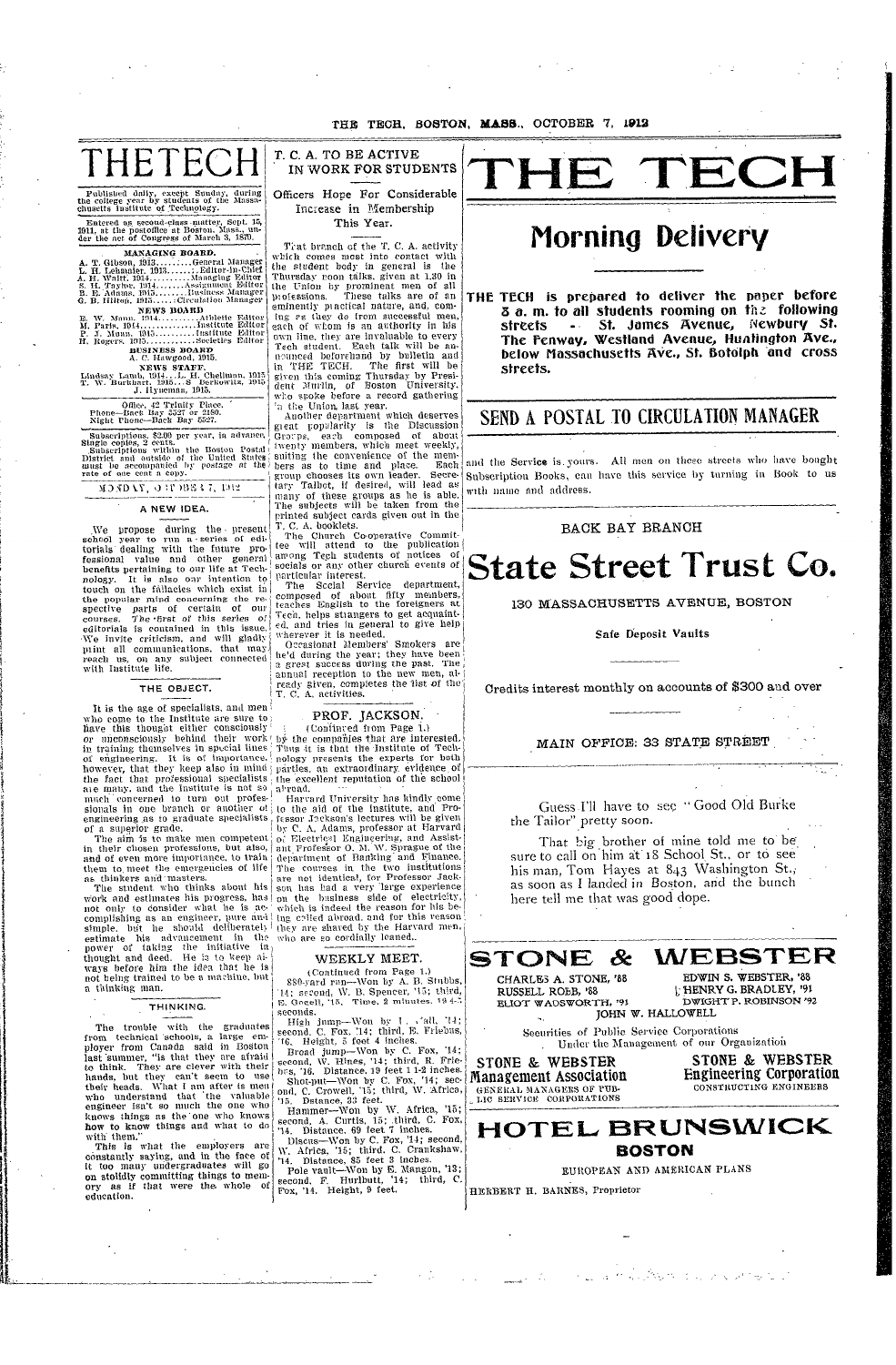THE TECH. BOSTON, MASS., OCTOBER 7, 1912

THETE

Published daily, except Sunday, during<br>the college year by students of the Massa-<br>chusetts institute of Technology.

MANAGING BOARD.

NEWS STAFF.<br>Lindsay Lamb, 1914... L. H. Chellman, 1915.<br>T. W. Burkhart, 1915...S Lerkowitz, 1915.<br>J. Hyneman, 1915.

Office, 42 Trinity Place,<br>Phone-Back Bay 5527 or 2180.<br>Night Phone-Back Bay 5527.

Subscriptions. \$2.00 per year, in advance,<br>Single copies, 2 cents.<br>Subscriptions within the Boston Postal<br>District and outside of the United States<br>gust be accompanied by postage at the<br>rate of one cent a copy.

MONDAY, ORDBS 17, 1912

A NEW IDEA.

We propose during the present school year to run a series of edi-<br>torials dealing with the future professional value and other general benefits pertaining to our life at Technology. It is also our intention to touch on the fallacies which exist in the popular mind concerning the re-<br>spective parts of certain of our courses. The first of this series of editorials is contained in this issue. We invite criticism, and will gladly mint all communications, that may reach us, on any subject connected<br>with Institute life.

#### THE OBJECT.

It is the age of specialists, and men who come to the Institute are sure to have this thought either consciously in training themselves in special lines of engineering. It is of importance. the fact that professional specialists are many, and the Institute is not so much concerned to turn out profes-

them to meet the emergencies of life as thinkers and masters.

The student who thinks about his work and estimates his progress, has not only to consider what he is accomplishing as an engineer, pure and ing colled abroad, and for this reason simple. but he should deliberately they are shared by the Harvard ment estimate his advancement in the who are so cordially leaned. power of taking the initiative in<br>thought and deed. He is to keep ai-<br>ways before him the idea that he is not being trained to be a machine, but a thinking man.

#### THINKING.

The trouble with the graduates from technical schools, a large employer from Canada said in Boston<br>last summer, "is that they are afraid They are clever with their to think. to think. They are clever with their<br>hands, but they can't seem to use<br>their heads. What I am after is ment<br>who understand that the valuable<br>engineer isn't so much the one who<br>knows things as the one who knows how to know things and what to do with them."

This is what the employers are constantly saying, and in the face of it too many undergraduates will go on stolidly committing things to memory as if that were the whole of education.

T. C. A. TO BE ACTIVE IN WORK FOR STUDENTS

Officers Hope For Considerable Increase in Membership This Year.

Trat branch of the T. C. A. activity which comes most into contact with when comes most much body in general is the<br>Thursday noon talks, given at 1.30 in<br>the Union by prominent men of all<br>professions. These talks are of an eminently practical nature, and, com-<br>ing *es* they do from successful men each of whom is an authority in his own line, they are invaluable to every<br>Tech student. Each talk will be aureen student. Each take with each counced beforeinand by bulletin and<br>in THE TECH. The first will be<br>given this coming Thursday by Presi-<br>dent Murlin, of Boston University,<br>who spoke before a record gathering 'n the Union last year.<br>Another department which deserves

great popularity is the Discussion Groups, each composed of about<br>twenty members, which meet weekly, suiting the convenience of the members as to time and place. Each group chooses its own leader. Secretary Talbot, if desired, will lead as many of these groups as he is able.<br>The subjects will be taken from the printed subject cards given out in the T. C. A. booklets.

The Church Co-operative Commit-<br>tee will attend to the publication among Tech students of notices of socials or any other church events of particular interest.

The Sccial Service department, composed of about fifty members,<br>teaches English to the foreigners at Tech. helps strangers to get acquaint $ed$ , and tries in general to give help<br>wherever it is needed.

Occasional Members' Smokers are he'd during the year; they have been<br>a great success during the past. The annual reception to the new men, already given, completes the fist of the

### PROF. JACKSON.

(Confinved from Page 1.)<br>by the companies that are interested. Thus it is that the Institute of Technology presents the experts for both parties, an extraordinary evidence of the excellent reputation of the school al road.

Harvard University has kindly come much concerned to turn out protes. Harvard University has kindly come<br>sionals in one branch or another of  $\{0\}$  the aid of the institute, and Pro-<br>of a superior grade.<br>The aim is to make men competent  $\begin{bmatrix} 0 & \text{the aid of the Institute$ The courses in the two institutions are not identical, for Professor Jackson has had a very large experience<br>on the business side of electricity, which is indeed the reason for his be-

#### WEEKLY MEET.

(Continued from Page 1.) 880-yard run-Won by A. B. Stubbs, 14; second, W. B. Spencer, '15; third, E. Googli, '15, Time, 2 minutes. 194-5

seconds. Migh jump—Won by 1. vall, 14;<br>second, C. Fox, 14; third, E. Friebus,<br>16. Height, 5 feet 4 inches.

From Broad jump—Wom by C. Fox, '14;<br>second, W. Hines, '14; third, R. Frie-<br>second, W. Hines, '14; third, R. Frie-<br>brs, '16. Distance, 19 feet 1 1-2 inches.<br>Shot-put—Won by C. Fox, '14; sec-<br>ond, C. Crowell, '15; third, W.

Hammer-Won by W. Africa, '15 second, A. Curtis, 15; third, C. Fox, 14. Distance, 69 feet 7 inches. Discus-Won by C. Fox, '14; second,

M. Africa, '15; third. C. Criankshaw.<br>
"W. Africa, '15; third. C. Criankshaw.<br>
"14. Distance, 85 feet 3 inches.<br>
Pole vault—Won by E. Mangon, '13;<br>
second, F. Hurlbutt, '14; third, C.<br>
Fox, '14. Height, 9 feet.



### Morning Delivery

THE TECH is prepared to deliver the paper before 3 a.m. to all students rooming on the following - St. James Avenue, Newbury St. streets The Fenway, Westland Avenue, Huntington Ave., below Massachusetts Ave., St. Botolph and cross streets.

#### SEND A POSTAL TO CIRCULATION MANAGER

and the Service is yours. All men on these streets who have bought Subscription Books, can have this service by turning in Book to us with name and address.

#### BACK BAY BRANCH

### **State Street Trust Co.**

130 MASSACHUSETTS AVENUE, BOSTON

#### Safe Deposit Vaults

Credits interest monthly on accounts of \$300 and over

MAIN OFFICE: 33 STATE STREET

Guess I'll have to see "Good Old Burke the Tailor" pretty soon.

That big brother of mine told me to be<br>sure to call on him at 18 School St., or to see his man, Tom Hayes at 843 Washington St., as soon as I landed in Boston, and the bunch here tell me that was good dope.



RUSSELL ROBB, '88 ELIOT WADSWORTH, '91 JOHN W. HALLOWELL

HENRY G. BRADLEY, '91 DWIGHT P. ROBINSON '92

Securities of Public Service Corporations Under the Management of our Organization

STONE & WEBSTER Management Association GENERAL MANAGERS OF PUB-

STONE & WEBSTER **Engineering Corporation** CONSTRUCTING ENGINEERS



EUROPEAN AND AMERICAN PLANS

HERBERT H. BARNES, Proprietor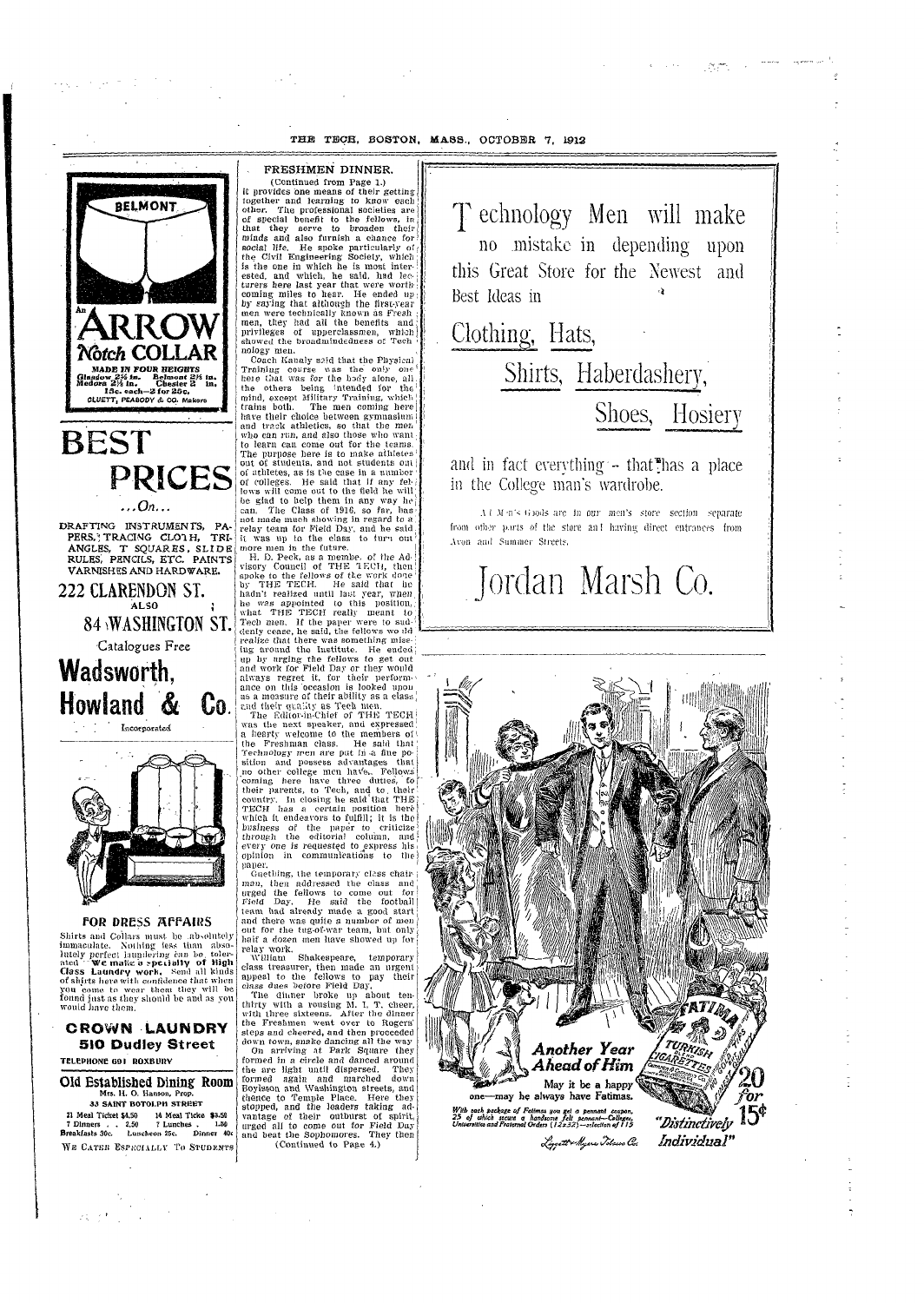#### THE TECH, BOSTON, MASS., OCTOBER 7, 1912



**PRICES**  $\ldots$ On... DRAFTING INSTRUMENTS, PA PERS, TRACING CLOTH, TRI-ANGLES, T SQUARES, SLIDE RULES, PENCILS, ETC. PAINTS **VARNISHES AND HARDWARE.** 222 CLARENDON ST. ALSO<sub>1</sub> **84 WASHINGTON ST.** Catalogues Free **Wadsworth.** Howland &  $\mathbf{U_0}$ .



Incorporated

FOR DRESS AFFAIRS

Shirts and Collars must be absolutely Shirts and Collars must be absolutely<br>immaculate. Nothing less than absolutely<br>httely perfect laundering can be toler-<br>ated "We make a speciality of High<br>class Laundry work, Send all kinds<br>of shirts here with confidence th

**CROWN LAUNDRY** 

FRESHMEN DINNER. (Continued from Page 1.) it provides one means of their getting together and learning to know each<br>other. The professional societies are<br>of special benefit to the fellows, in that they serve to broaden their<br>minds and also furnish a chance for social life. He spoke particularly of the Civil Engineering Society, which is the one in which he is most interested, and which, he said, had lecturers here last year that were worthcoming miles to hear. He ended up by saying that although the first-year men were technically known as Fresh men, they had all the benefits and privileges of upperclassmen, which showed the broadmindedness of Tech nology men.

Coach Kanaly said that the Physical Training course was the only one here that was for the body alone, all, the others being intended for the mind, except Military Training, which<br>trains both. The men coming here have their choice between gymnasium and track athletics, so that the men<br>who can run, and also those who want to learn can come out for the teams. The purpose here is to make athletes out of students, and not students out of athletes, as is the case in a number of colleges. He said that if any fellows will come out to the field he will<br>be glad to help them in any way he can. The Class of 1916, so far, has not made much showing in regard to a<br>relay team for Field Day, and he said it was up to the class to turn out more men in the future.

H. D. Peck, as a membe, of the Advisory Council of THE TECH, then spoke to the fellows of the work done<br>by THE TECH. He said that he<br>hadn't realized until last year, when he was appointed to this position,<br>what THE TECH really meant to<br>Tech men. If the paper were to suddenly cease, he said, the fellows wo dd realize that there was something miss-<br>ing around the Institute. He ended ing by urging the fellows to get out<br>and work for Field Day or they would<br>always regret it, for their performance on this occasion is looked upon as a measure of their ability as a class. and their quality as Tech men.<br>The Editor-in-Chief of THE TECH

was the next speaker, and expressed a hearty welcome to the members of the Freshman class. He said that<br>Technology men are put in a fine position and possess advantages that no other college men have. Fellows' coming here have three duties, to their parents, to Tech, and to their country. In closing he said that THE TECH has a certain position here which it endeavors to fulfill; it is the business of the paper to criticize<br>through the editorial column, and every one is requested to express his opinion in communications to the paper.

Guething, the temporary class chairman, then addressed the class and<br>urged the fellows to come out for<br>Field Day. He said the football team had already made a good start and there was quite a number of men<br>out for the tug-of-war team, but only haif a dozen men have showed up for

relay work.<br>William Shakespeare, temporary class treasurer, then made an urgent<br>appeal to the fellows to pay their class dues before Field Day.

The dinner broke up about tenthirty with a rousing M. I. T. cheer,<br>with three sixteens. After the dinner<br>the Freshmen went over to Rogers' steps and cheered, and then proceeded down town, snake dancing all the way On arriving at Park Square they formed in a circle and danced around the arc light until dispersed. They<br>formed again and marched down Boylston and Washington streets, and thence to Temple Place. Here they stopped, and the leaders taking advantage of their outburst of spirit, urged all to come out for Field Day<br>and beat the Sophomores. They then (Continued to Page 4.)

T echnology Men will make no mistake in depending upon this Great Store for the Newest and Best Ideas in

(病毒) よう

Clothing, Hats, Shirts, Haberdashery, Shoes, Hosiery

and in fact everything - that has a place in the College man's wardrobe.

Al Mon's Goods are in our men's store section separate from other parts of the store and having direct entrances from Avon and Summer Streets.

## Jordan Marsh Co.



**510 Dudley Street** TELEPHONE G91 ROXBURY Old Established Dining Room Mrs. H. O. Hanson, Prop. 33 SAINT BOTOLPH STREET 21 Meal Ticket \$4.50 14 Meal Ticke \$3.50<br>7 Dinners . . 2.50 7 Lunches . 1.50<br>**Breakfasts 30c.** Luncheon 25c. Dinner 40c

WE CATER ESPECIALLY TO STUDENTS